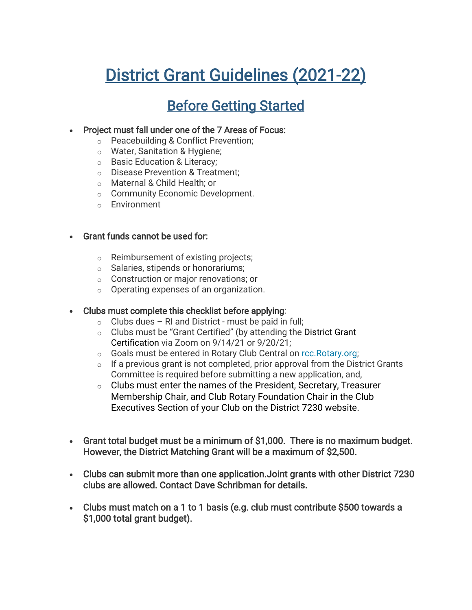# District Grant Guidelines (2021-22)

# Before Getting Started

#### • Project must fall under one of the 7 Areas of Focus:

- o Peacebuilding & Conflict Prevention;
- o Water, Sanitation & Hygiene;
- o Basic Education & Literacy;
- o Disease Prevention & Treatment;
- o Maternal & Child Health; or
- o Community Economic Development.
- o Environment

#### • Grant funds cannot be used for:

- o Reimbursement of existing projects;
- o Salaries, stipends or honorariums;
- o Construction or major renovations; or
- o Operating expenses of an organization.

#### • Clubs must complete this checklist before applying:

- $\circ$  Clubs dues RI and District must be paid in full;
- $\circ$  Clubs must be "Grant Certified" (by attending the District Grant Certification via Zoom on 9/14/21 or 9/20/21;
- o Goals must be entered in Rotary Club Central on [rcc.Rotary.org;](https://rcc.rotary.org/)
- $\circ$  If a previous grant is not completed, prior approval from the District Grants Committee is required before submitting a new application, and,
- o Clubs must enter the names of the President, Secretary, Treasurer Membership Chair, and Club Rotary Foundation Chair in the Club Executives Section of your Club on the District 7230 website.
- Grant total budget must be a minimum of \$1,000. There is no maximum budget. However, the District Matching Grant will be a maximum of \$2,500.
- Clubs can submit more than one application.Joint grants with other District 7230 clubs are allowed. Contact Dave Schribman for details.
- Clubs must match on a 1 to 1 basis (e.g. club must contribute \$500 towards a \$1,000 total grant budget).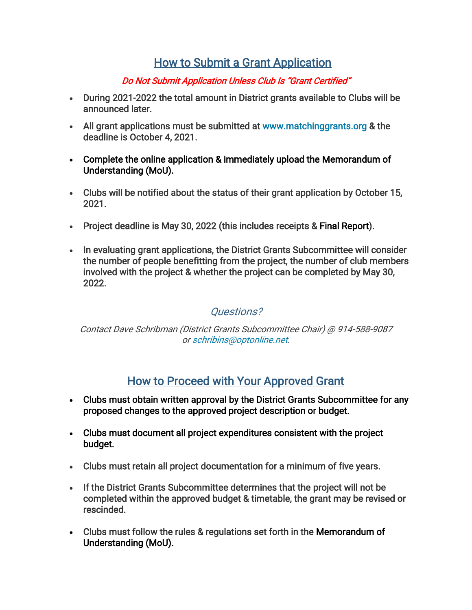# How to Submit a Grant Application

#### Do Not Submit Application Unless Club Is "Grant Certified"

- During 2021-2022 the total amount in District grants available to Clubs will be announced later.
- All grant applications must be submitted at [www.matchinggrants.org](http://www.matchinggrants.org/) & the deadline is October 4, 2021.
- Complete the online application & immediately upload the Memorandum of Understanding (MoU).
- Clubs will be notified about the status of their grant application by October 15, 2021.
- Project deadline is May 30, 2022 (this includes receipts & [Final Report\)](https://content.clubrunner.ca/60085/CustomWidget/documents/en-us/aecad555-ee17-4b6d-97d2-0250ae37424a/1).
- In evaluating grant applications, the District Grants Subcommittee will consider the number of people benefitting from the project, the number of club members involved with the project & whether the project can be completed by May 30, 2022.

### Questions?

#### Contact Dave Schribman (District Grants Subcommittee Chair) @ 914-588-9087 or [schribins@optonline.net.](mailto:schribins@optonline.net?subject=Question%20Regarding%207230%20District%20Grant)

# How to Proceed with Your Approved Grant

- Clubs must obtain written approval by the District Grants Subcommittee for any proposed changes to the approved project description or budget.
- Clubs must document all project expenditures consistent with the project budget.
- Clubs must retain all project documentation for a minimum of five years.
- If the District Grants Subcommittee determines that the project will not be completed within the approved budget & timetable, the grant may be revised or rescinded.
- Clubs must follow the rules & regulations set forth in the [Memorandum of](https://content.clubrunner.ca/60085/CustomWidget/documents/en-us/1732c22c-da05-47b5-b8fe-95607f5d3cbf/1)  [Understanding \(MoU\).](https://content.clubrunner.ca/60085/CustomWidget/documents/en-us/1732c22c-da05-47b5-b8fe-95607f5d3cbf/1)